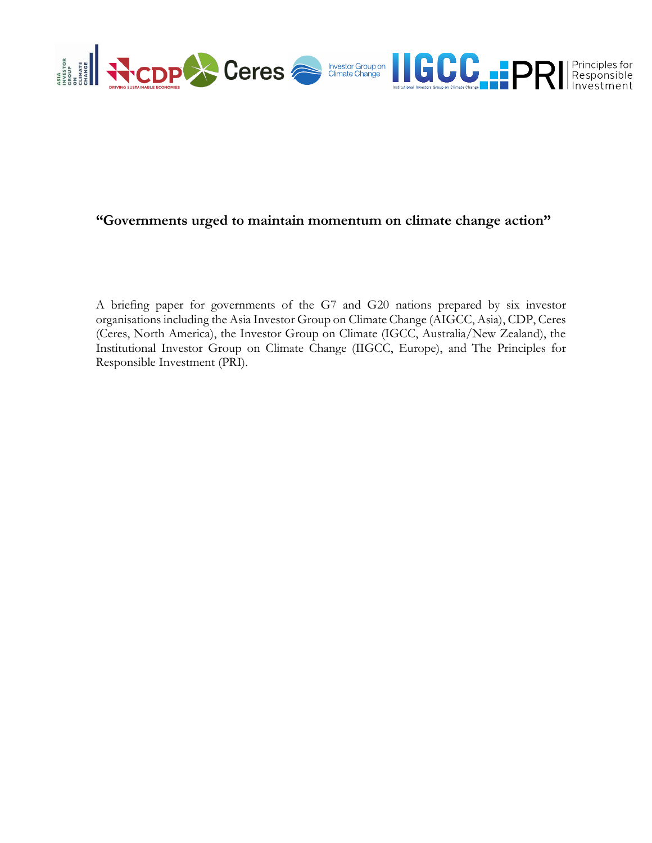

# **"Governments urged to maintain momentum on climate change action"**

A briefing paper for governments of the G7 and G20 nations prepared by six investor organisations including the Asia Investor Group on Climate Change (AIGCC, Asia), CDP, Ceres (Ceres, North America), the Investor Group on Climate (IGCC, Australia/New Zealand), the Institutional Investor Group on Climate Change (IIGCC, Europe), and The Principles for Responsible Investment (PRI).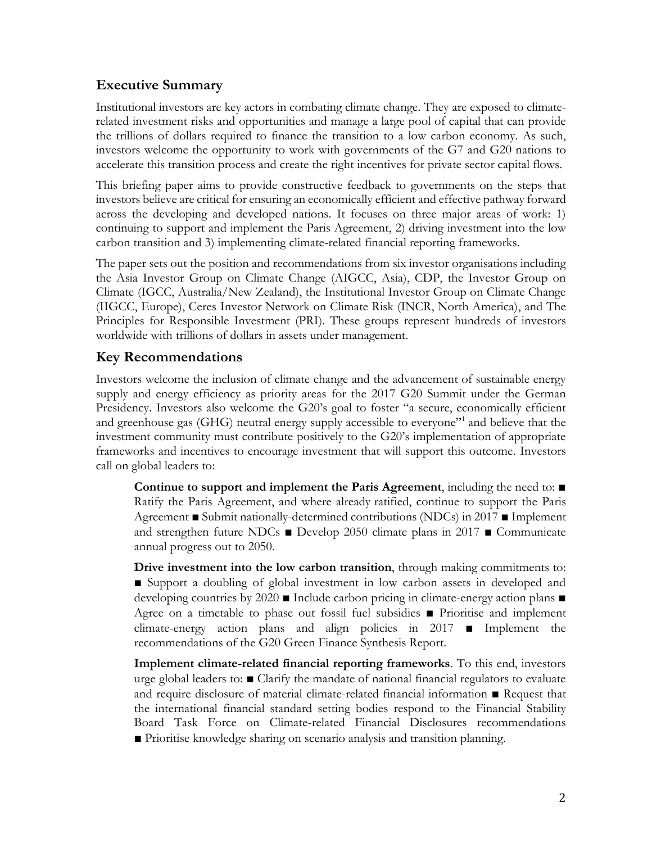# **Executive Summary**

Institutional investors are key actors in combating climate change. They are exposed to climaterelated investment risks and opportunities and manage a large pool of capital that can provide the trillions of dollars required to finance the transition to a low carbon economy. As such, investors welcome the opportunity to work with governments of the G7 and G20 nations to accelerate this transition process and create the right incentives for private sector capital flows.

This briefing paper aims to provide constructive feedback to governments on the steps that investors believe are critical for ensuring an economically efficient and effective pathway forward across the developing and developed nations. It focuses on three major areas of work: 1) continuing to support and implement the Paris Agreement, 2) driving investment into the low carbon transition and 3) implementing climate-related financial reporting frameworks.

The paper sets out the position and recommendations from six investor organisations including the Asia Investor Group on Climate Change (AIGCC, Asia), CDP, the Investor Group on Climate (IGCC, Australia/New Zealand), the Institutional Investor Group on Climate Change (IIGCC, Europe), Ceres Investor Network on Climate Risk (INCR, North America), and The Principles for Responsible Investment (PRI). These groups represent hundreds of investors worldwide with trillions of dollars in assets under management.

# **Key Recommendations**

Investors welcome the inclusion of climate change and the advancement of sustainable energy supply and energy efficiency as priority areas for the 2017 G20 Summit under the German Presidency. Investors also welcome the G20's goal to foster "a secure, economically efficient and greenhouse gas (GHG) neutral energy supply accessible to everyone"<sup>1</sup> and believe that the investment community must contribute positively to the G20's implementation of appropriate frameworks and incentives to encourage investment that will support this outcome. Investors call on global leaders to:

**Continue to support and implement the Paris Agreement**, including the need to: ■ Ratify the Paris Agreement, and where already ratified, continue to support the Paris Agreement ■ Submit nationally-determined contributions (NDCs) in 2017 ■ Implement and strengthen future NDCs ■ Develop 2050 climate plans in 2017 ■ Communicate annual progress out to 2050.

**Drive investment into the low carbon transition**, through making commitments to: ■ Support a doubling of global investment in low carbon assets in developed and developing countries by 2020 ■ Include carbon pricing in climate-energy action plans ■ Agree on a timetable to phase out fossil fuel subsidies ■ Prioritise and implement climate-energy action plans and align policies in 2017 ■ Implement the recommendations of the G20 Green Finance Synthesis Report.

**Implement climate-related financial reporting frameworks**. To this end, investors urge global leaders to: ■ Clarify the mandate of national financial regulators to evaluate and require disclosure of material climate-related financial information ■ Request that the international financial standard setting bodies respond to the Financial Stability Board Task Force on Climate-related Financial Disclosures recommendations ■ Prioritise knowledge sharing on scenario analysis and transition planning.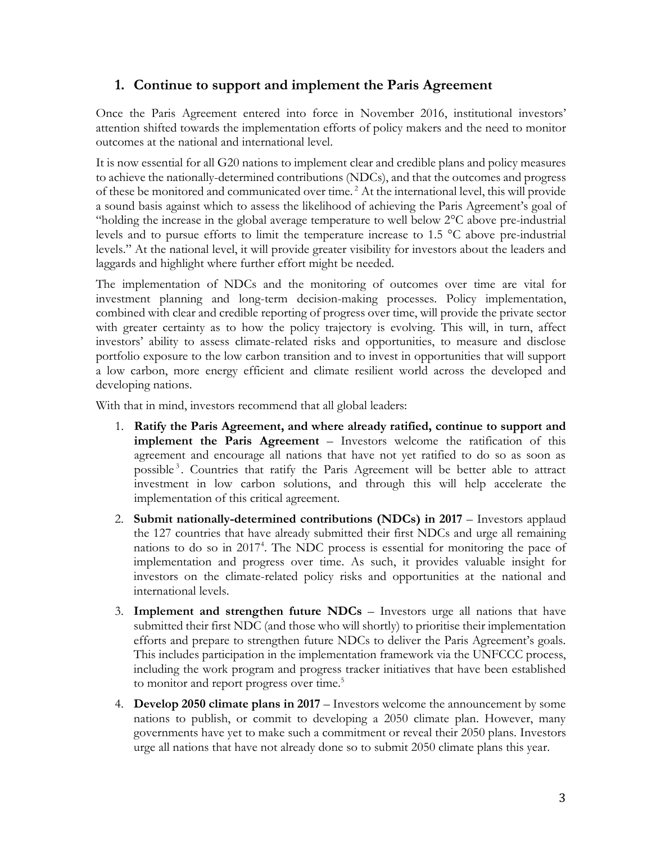# **1. Continue to support and implement the Paris Agreement**

Once the Paris Agreement entered into force in November 2016, institutional investors' attention shifted towards the implementation efforts of policy makers and the need to monitor outcomes at the national and international level.

It is now essential for all G20 nations to implement clear and credible plans and policy measures to achieve the nationally-determined contributions (NDCs), and that the outcomes and progress of these be monitored and communicated over time. <sup>2</sup> At the international level, this will provide a sound basis against which to assess the likelihood of achieving the Paris Agreement's goal of "holding the increase in the global average temperature to well below 2°C above pre-industrial levels and to pursue efforts to limit the temperature increase to 1.5 °C above pre-industrial levels." At the national level, it will provide greater visibility for investors about the leaders and laggards and highlight where further effort might be needed.

The implementation of NDCs and the monitoring of outcomes over time are vital for investment planning and long-term decision-making processes. Policy implementation, combined with clear and credible reporting of progress over time, will provide the private sector with greater certainty as to how the policy trajectory is evolving. This will, in turn, affect investors' ability to assess climate-related risks and opportunities, to measure and disclose portfolio exposure to the low carbon transition and to invest in opportunities that will support a low carbon, more energy efficient and climate resilient world across the developed and developing nations.

With that in mind, investors recommend that all global leaders:

- 1. **Ratify the Paris Agreement, and where already ratified, continue to support and implement the Paris Agreement** – Investors welcome the ratification of this agreement and encourage all nations that have not yet ratified to do so as soon as possible<sup>3</sup>. Countries that ratify the Paris Agreement will be better able to attract investment in low carbon solutions, and through this will help accelerate the implementation of this critical agreement.
- 2. **Submit nationally-determined contributions (NDCs) in 2017** Investors applaud the 127 countries that have already submitted their first NDCs and urge all remaining nations to do so in 2017<sup>4</sup>. The NDC process is essential for monitoring the pace of implementation and progress over time. As such, it provides valuable insight for investors on the climate-related policy risks and opportunities at the national and international levels.
- 3. **Implement and strengthen future NDCs** Investors urge all nations that have submitted their first NDC (and those who will shortly) to prioritise their implementation efforts and prepare to strengthen future NDCs to deliver the Paris Agreement's goals. This includes participation in the implementation framework via the UNFCCC process, including the work program and progress tracker initiatives that have been established to monitor and report progress over time.<sup>5</sup>
- 4. **Develop 2050 climate plans in 2017**  Investors welcome the announcement by some nations to publish, or commit to developing a 2050 climate plan. However, many governments have yet to make such a commitment or reveal their 2050 plans. Investors urge all nations that have not already done so to submit 2050 climate plans this year.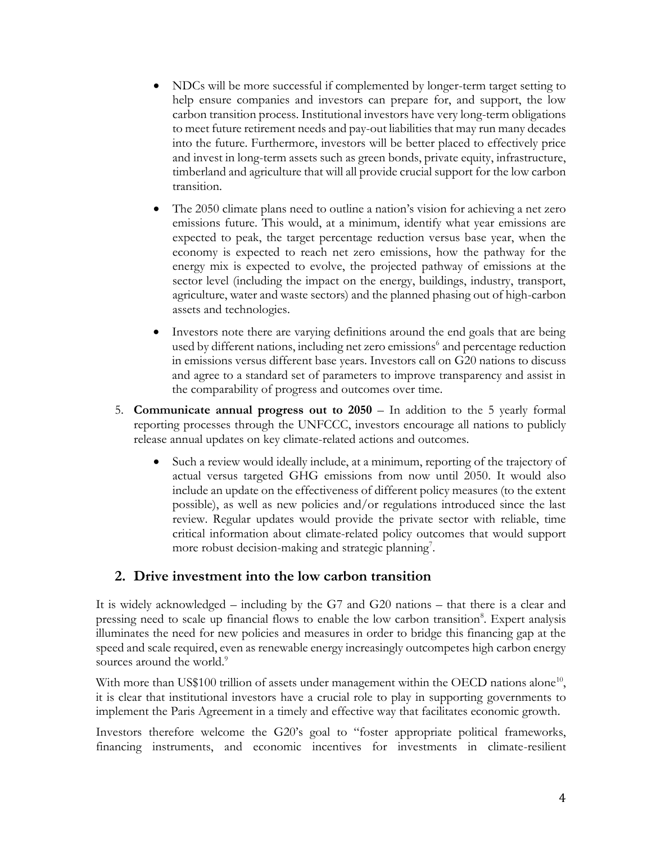- NDCs will be more successful if complemented by longer-term target setting to help ensure companies and investors can prepare for, and support, the low carbon transition process. Institutional investors have very long-term obligations to meet future retirement needs and pay-out liabilities that may run many decades into the future. Furthermore, investors will be better placed to effectively price and invest in long-term assets such as green bonds, private equity, infrastructure, timberland and agriculture that will all provide crucial support for the low carbon transition.
- The 2050 climate plans need to outline a nation's vision for achieving a net zero emissions future. This would, at a minimum, identify what year emissions are expected to peak, the target percentage reduction versus base year, when the economy is expected to reach net zero emissions, how the pathway for the energy mix is expected to evolve, the projected pathway of emissions at the sector level (including the impact on the energy, buildings, industry, transport, agriculture, water and waste sectors) and the planned phasing out of high-carbon assets and technologies.
- Investors note there are varying definitions around the end goals that are being used by different nations, including net zero emissions<sup>6</sup> and percentage reduction in emissions versus different base years. Investors call on G20 nations to discuss and agree to a standard set of parameters to improve transparency and assist in the comparability of progress and outcomes over time.
- 5. **Communicate annual progress out to 2050** In addition to the 5 yearly formal reporting processes through the UNFCCC, investors encourage all nations to publicly release annual updates on key climate-related actions and outcomes.
	- Such a review would ideally include, at a minimum, reporting of the trajectory of actual versus targeted GHG emissions from now until 2050. It would also include an update on the effectiveness of different policy measures (to the extent possible), as well as new policies and/or regulations introduced since the last review. Regular updates would provide the private sector with reliable, time critical information about climate-related policy outcomes that would support more robust decision-making and strategic planning<sup>7</sup>.

#### **2. Drive investment into the low carbon transition**

It is widely acknowledged – including by the G7 and G20 nations – that there is a clear and pressing need to scale up financial flows to enable the low carbon transition<sup>8</sup>. Expert analysis illuminates the need for new policies and measures in order to bridge this financing gap at the speed and scale required, even as renewable energy increasingly outcompetes high carbon energy sources around the world.<sup>9</sup>

With more than US\$100 trillion of assets under management within the OECD nations alone<sup>10</sup>, it is clear that institutional investors have a crucial role to play in supporting governments to implement the Paris Agreement in a timely and effective way that facilitates economic growth.

Investors therefore welcome the G20's goal to "foster appropriate political frameworks, financing instruments, and economic incentives for investments in climate-resilient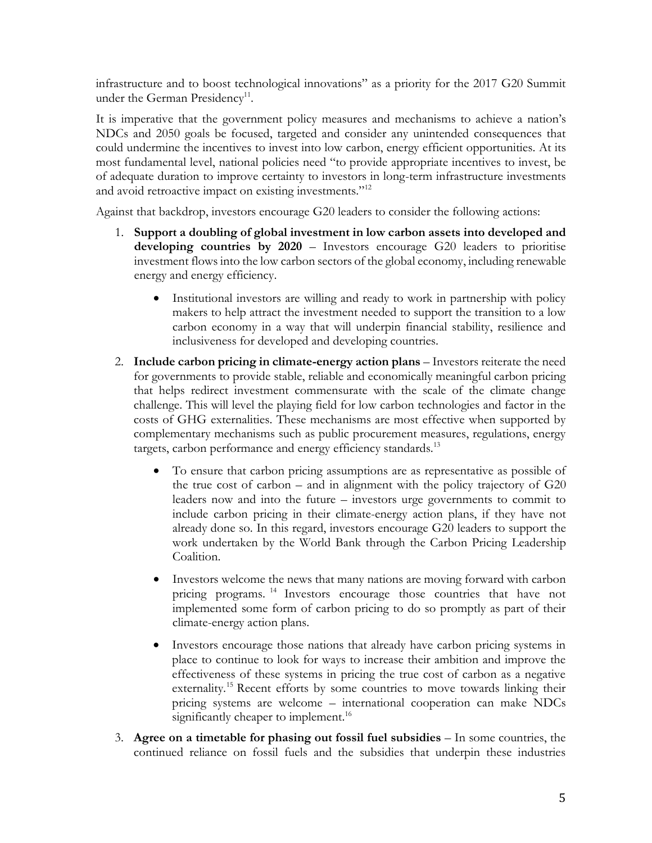infrastructure and to boost technological innovations" as a priority for the 2017 G20 Summit under the German Presidency<sup>11</sup>.

It is imperative that the government policy measures and mechanisms to achieve a nation's NDCs and 2050 goals be focused, targeted and consider any unintended consequences that could undermine the incentives to invest into low carbon, energy efficient opportunities. At its most fundamental level, national policies need "to provide appropriate incentives to invest, be of adequate duration to improve certainty to investors in long-term infrastructure investments and avoid retroactive impact on existing investments."<sup>12</sup>

Against that backdrop, investors encourage G20 leaders to consider the following actions:

- 1. **Support a doubling of global investment in low carbon assets into developed and developing countries by 2020** – Investors encourage G20 leaders to prioritise investment flows into the low carbon sectors of the global economy, including renewable energy and energy efficiency.
	- Institutional investors are willing and ready to work in partnership with policy makers to help attract the investment needed to support the transition to a low carbon economy in a way that will underpin financial stability, resilience and inclusiveness for developed and developing countries.
- 2. **Include carbon pricing in climate-energy action plans**  Investors reiterate the need for governments to provide stable, reliable and economically meaningful carbon pricing that helps redirect investment commensurate with the scale of the climate change challenge. This will level the playing field for low carbon technologies and factor in the costs of GHG externalities. These mechanisms are most effective when supported by complementary mechanisms such as public procurement measures, regulations, energy targets, carbon performance and energy efficiency standards.<sup>13</sup>
	- To ensure that carbon pricing assumptions are as representative as possible of the true cost of carbon – and in alignment with the policy trajectory of G20 leaders now and into the future – investors urge governments to commit to include carbon pricing in their climate-energy action plans, if they have not already done so. In this regard, investors encourage G20 leaders to support the work undertaken by the World Bank through the Carbon Pricing Leadership Coalition.
	- Investors welcome the news that many nations are moving forward with carbon pricing programs. <sup>14</sup> Investors encourage those countries that have not implemented some form of carbon pricing to do so promptly as part of their climate-energy action plans.
	- Investors encourage those nations that already have carbon pricing systems in place to continue to look for ways to increase their ambition and improve the effectiveness of these systems in pricing the true cost of carbon as a negative externality.<sup>15</sup> Recent efforts by some countries to move towards linking their pricing systems are welcome – international cooperation can make NDCs significantly cheaper to implement.<sup>16</sup>
- 3. **Agree on a timetable for phasing out fossil fuel subsidies** In some countries, the continued reliance on fossil fuels and the subsidies that underpin these industries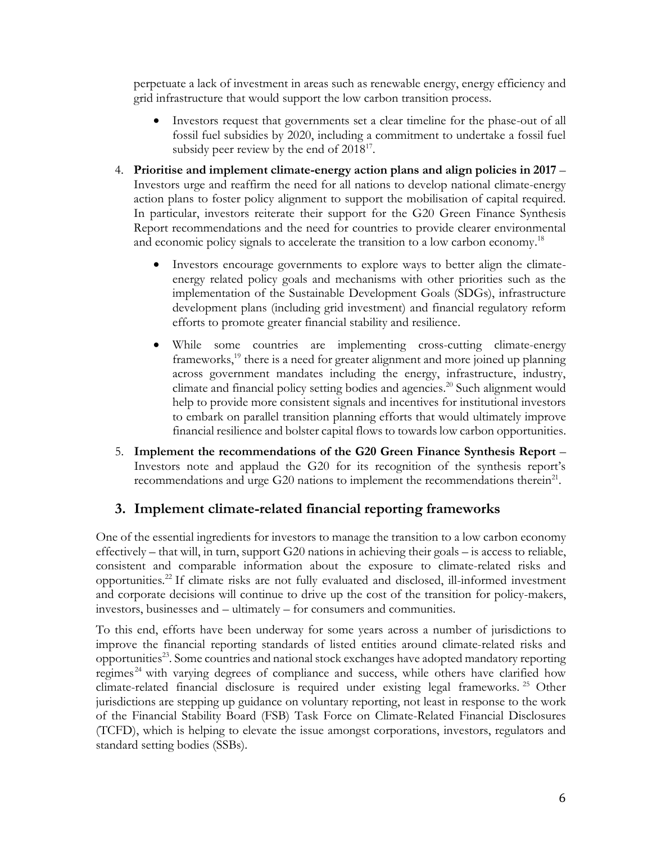perpetuate a lack of investment in areas such as renewable energy, energy efficiency and grid infrastructure that would support the low carbon transition process.

- Investors request that governments set a clear timeline for the phase-out of all fossil fuel subsidies by 2020, including a commitment to undertake a fossil fuel subsidy peer review by the end of  $2018^{17}$ .
- 4. **Prioritise and implement climate-energy action plans and align policies in 2017**  Investors urge and reaffirm the need for all nations to develop national climate-energy action plans to foster policy alignment to support the mobilisation of capital required. In particular, investors reiterate their support for the G20 Green Finance Synthesis Report recommendations and the need for countries to provide clearer environmental and economic policy signals to accelerate the transition to a low carbon economy.<sup>18</sup>
	- Investors encourage governments to explore ways to better align the climateenergy related policy goals and mechanisms with other priorities such as the implementation of the Sustainable Development Goals (SDGs), infrastructure development plans (including grid investment) and financial regulatory reform efforts to promote greater financial stability and resilience.
	- While some countries are implementing cross-cutting climate-energy frameworks,<sup>19</sup> there is a need for greater alignment and more joined up planning across government mandates including the energy, infrastructure, industry, climate and financial policy setting bodies and agencies. <sup>20</sup> Such alignment would help to provide more consistent signals and incentives for institutional investors to embark on parallel transition planning efforts that would ultimately improve financial resilience and bolster capital flows to towards low carbon opportunities.
- 5. **Implement the recommendations of the G20 Green Finance Synthesis Report** Investors note and applaud the G20 for its recognition of the synthesis report's recommendations and urge  $G20$  nations to implement the recommendations therein<sup>21</sup>.

# **3. Implement climate-related financial reporting frameworks**

One of the essential ingredients for investors to manage the transition to a low carbon economy effectively – that will, in turn, support G20 nations in achieving their goals – is access to reliable, consistent and comparable information about the exposure to climate-related risks and opportunities.22 If climate risks are not fully evaluated and disclosed, ill-informed investment and corporate decisions will continue to drive up the cost of the transition for policy-makers, investors, businesses and – ultimately – for consumers and communities.

To this end, efforts have been underway for some years across a number of jurisdictions to improve the financial reporting standards of listed entities around climate-related risks and opportunities<sup>23</sup>. Some countries and national stock exchanges have adopted mandatory reporting regimes<sup>24</sup> with varying degrees of compliance and success, while others have clarified how climate-related financial disclosure is required under existing legal frameworks. <sup>25</sup> Other jurisdictions are stepping up guidance on voluntary reporting, not least in response to the work of the Financial Stability Board (FSB) Task Force on Climate-Related Financial Disclosures (TCFD), which is helping to elevate the issue amongst corporations, investors, regulators and standard setting bodies (SSBs).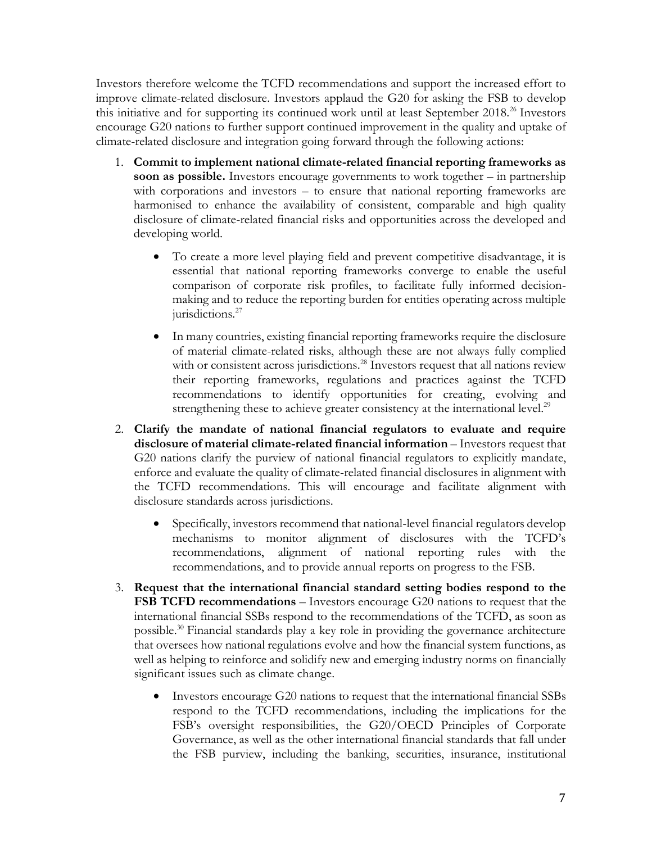Investors therefore welcome the TCFD recommendations and support the increased effort to improve climate-related disclosure. Investors applaud the G20 for asking the FSB to develop this initiative and for supporting its continued work until at least September 2018.<sup>26</sup> Investors encourage G20 nations to further support continued improvement in the quality and uptake of climate-related disclosure and integration going forward through the following actions:

- 1. **Commit to implement national climate-related financial reporting frameworks as soon as possible.** Investors encourage governments to work together – in partnership with corporations and investors – to ensure that national reporting frameworks are harmonised to enhance the availability of consistent, comparable and high quality disclosure of climate-related financial risks and opportunities across the developed and developing world.
	- To create a more level playing field and prevent competitive disadvantage, it is essential that national reporting frameworks converge to enable the useful comparison of corporate risk profiles, to facilitate fully informed decisionmaking and to reduce the reporting burden for entities operating across multiple jurisdictions.<sup>27</sup>
	- In many countries, existing financial reporting frameworks require the disclosure of material climate-related risks, although these are not always fully complied with or consistent across jurisdictions.<sup>28</sup> Investors request that all nations review their reporting frameworks, regulations and practices against the TCFD recommendations to identify opportunities for creating, evolving and strengthening these to achieve greater consistency at the international level.<sup>29</sup>
- 2. **Clarify the mandate of national financial regulators to evaluate and require disclosure of material climate-related financial information** – Investors request that G20 nations clarify the purview of national financial regulators to explicitly mandate, enforce and evaluate the quality of climate-related financial disclosures in alignment with the TCFD recommendations. This will encourage and facilitate alignment with disclosure standards across jurisdictions.
	- Specifically, investors recommend that national-level financial regulators develop mechanisms to monitor alignment of disclosures with the TCFD's recommendations, alignment of national reporting rules with the recommendations, and to provide annual reports on progress to the FSB.
- 3. **Request that the international financial standard setting bodies respond to the FSB TCFD recommendations** – Investors encourage G20 nations to request that the international financial SSBs respond to the recommendations of the TCFD, as soon as possible. <sup>30</sup> Financial standards play a key role in providing the governance architecture that oversees how national regulations evolve and how the financial system functions, as well as helping to reinforce and solidify new and emerging industry norms on financially significant issues such as climate change.
	- Investors encourage G20 nations to request that the international financial SSBs respond to the TCFD recommendations, including the implications for the FSB's oversight responsibilities, the G20/OECD Principles of Corporate Governance, as well as the other international financial standards that fall under the FSB purview, including the banking, securities, insurance, institutional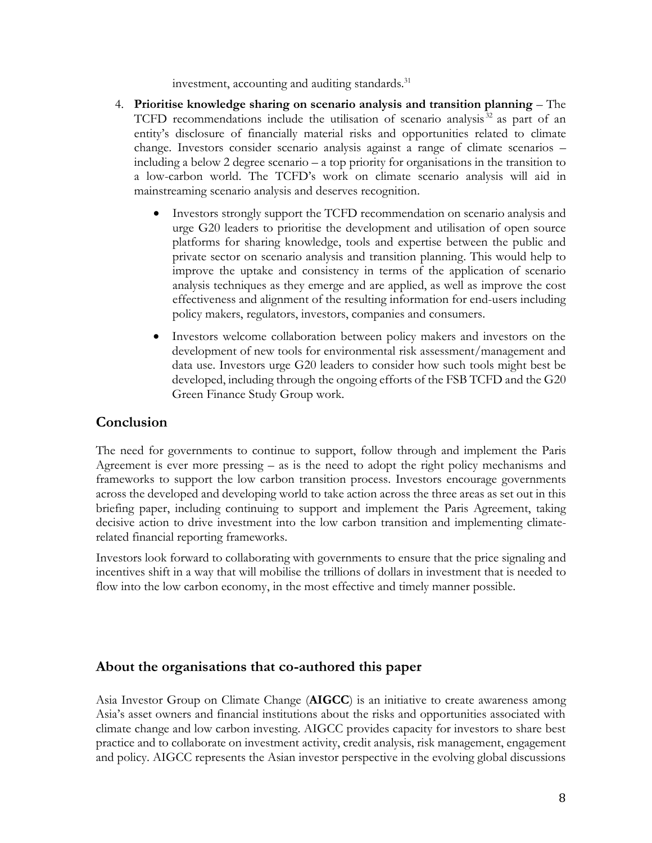investment, accounting and auditing standards.<sup>31</sup>

- 4. **Prioritise knowledge sharing on scenario analysis and transition planning** The TCFD recommendations include the utilisation of scenario analysis<sup>32</sup> as part of an entity's disclosure of financially material risks and opportunities related to climate change. Investors consider scenario analysis against a range of climate scenarios – including a below 2 degree scenario – a top priority for organisations in the transition to a low-carbon world. The TCFD's work on climate scenario analysis will aid in mainstreaming scenario analysis and deserves recognition.
	- Investors strongly support the TCFD recommendation on scenario analysis and urge G20 leaders to prioritise the development and utilisation of open source platforms for sharing knowledge, tools and expertise between the public and private sector on scenario analysis and transition planning. This would help to improve the uptake and consistency in terms of the application of scenario analysis techniques as they emerge and are applied, as well as improve the cost effectiveness and alignment of the resulting information for end-users including policy makers, regulators, investors, companies and consumers.
	- Investors welcome collaboration between policy makers and investors on the development of new tools for environmental risk assessment/management and data use. Investors urge G20 leaders to consider how such tools might best be developed, including through the ongoing efforts of the FSB TCFD and the G20 Green Finance Study Group work.

### **Conclusion**

The need for governments to continue to support, follow through and implement the Paris Agreement is ever more pressing – as is the need to adopt the right policy mechanisms and frameworks to support the low carbon transition process. Investors encourage governments across the developed and developing world to take action across the three areas as set out in this briefing paper, including continuing to support and implement the Paris Agreement, taking decisive action to drive investment into the low carbon transition and implementing climaterelated financial reporting frameworks.

Investors look forward to collaborating with governments to ensure that the price signaling and incentives shift in a way that will mobilise the trillions of dollars in investment that is needed to flow into the low carbon economy, in the most effective and timely manner possible.

#### **About the organisations that co-authored this paper**

Asia Investor Group on Climate Change (**AIGCC**) is an initiative to create awareness among Asia's asset owners and financial institutions about the risks and opportunities associated with climate change and low carbon investing. AIGCC provides capacity for investors to share best practice and to collaborate on investment activity, credit analysis, risk management, engagement and policy. AIGCC represents the Asian investor perspective in the evolving global discussions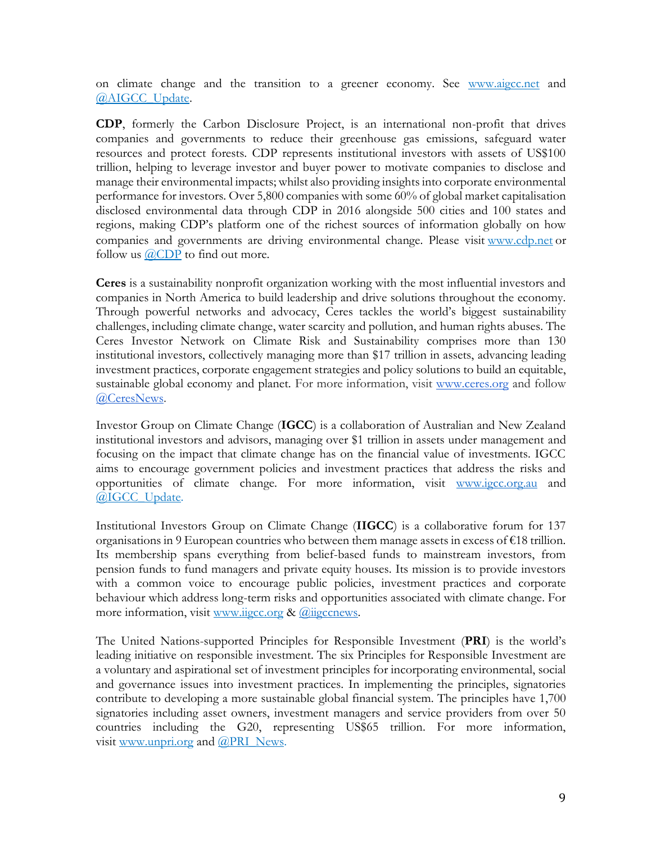on climate change and the transition to a greener economy. See [www.aigcc.net](http://www.aigcc.net/) an[d](https://twitter.com/AIGCC_update) [@AIGCC\\_Update.](https://twitter.com/AIGCC_update)

**CDP**, formerly the Carbon Disclosure Project, is an international non-profit that drives companies and governments to reduce their greenhouse gas emissions, safeguard water resources and protect forests. CDP represents institutional investors with assets of US\$100 trillion, helping to leverage investor and buyer power to motivate companies to disclose and manage their environmental impacts; whilst also providing insights into corporate environmental performance for investors. Over 5,800 companies with some 60% of global market capitalisation disclosed environmental data through CDP in 2016 alongside 500 cities and 100 states and regions, making CDP's platform one of the richest sources of information globally on how companies and governments are driving environmental change. Please visit [www.cdp.net](https://www.cdp.net/en) or follow us  $\widehat{a}$ CDP to find out more.

**Ceres** is a sustainability nonprofit organization working with the most influential investors and companies in North America to build leadership and drive solutions throughout the economy. Through powerful networks and advocacy, Ceres tackles the world's biggest sustainability challenges, including climate change, water scarcity and pollution, and human rights abuses. The Ceres Investor Network on Climate Risk and Sustainability comprises more than 130 institutional investors, collectively managing more than \$17 trillion in assets, advancing leading investment practices, corporate engagement strategies and policy solutions to build an equitable, sustainable global economy and planet. For more information, visit [www.ceres.org](http://www.ceres.org/) and follow [@CeresNews.](https://twitter.com/ceresnews?lang=en)

Investor Group on Climate Change (**IGCC**) is a collaboration of Australian and New Zealand institutional investors and advisors, managing over \$1 trillion in assets under management and focusing on the impact that climate change has on the financial value of investments. IGCC aims to encourage government policies and investment practices that address the risks and opportunities of climate change. For more information, visit [www.igcc.org.au](http://www.igcc.org.au/) and [@IGCC\\_Update.](https://twitter.com/IGCC_Update)

Institutional Investors Group on Climate Change (**IIGCC**) is a collaborative forum for 137 organisations in 9 European countries who between them manage assets in excess of €18 trillion. Its membership spans everything from belief-based funds to mainstream investors, from pension funds to fund managers and private equity houses. Its mission is to provide investors with a common voice to encourage public policies, investment practices and corporate behaviour which address long-term risks and opportunities associated with climate change. For more information, visit [www.iigcc.org](http://www.iigcc.org/about-us/our-members) & [@iigccnews.](https://twitter.com/iigccnews)

The United Nations-supported Principles for Responsible Investment (**PRI**) is the world's leading initiative on responsible investment. The six Principles for Responsible Investment are a voluntary and aspirational set of investment principles for incorporating environmental, social and governance issues into investment practices. In implementing the principles, signatories contribute to developing a more sustainable global financial system. The principles have 1,700 signatories including asset owners, investment managers and service providers from over 50 countries including the G20, representing US\$65 trillion. For more information, visit [www.unpri.org](http://www.unpri.org/) and [@PRI\\_News.](https://twitter.com/PRI_News)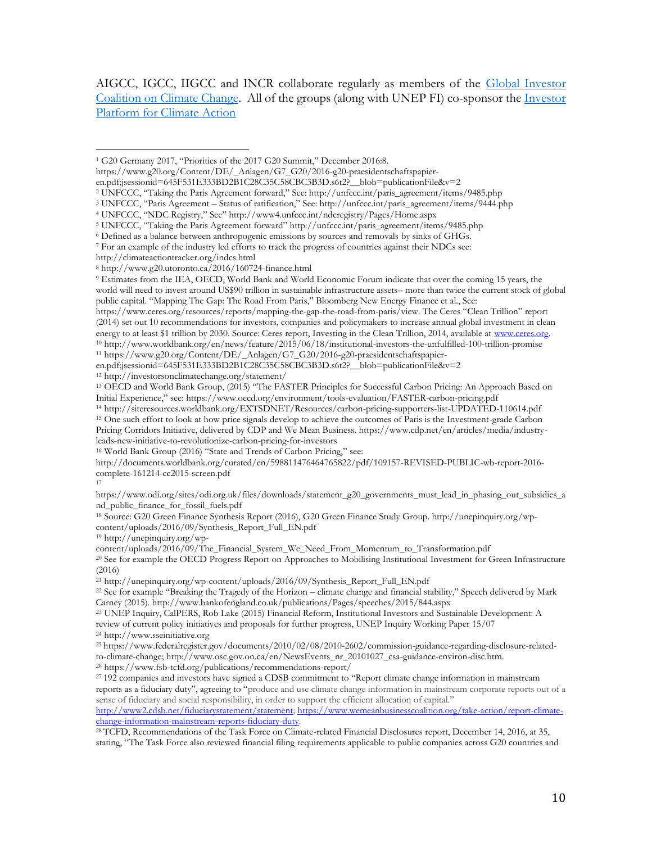AIGCC, IGCC, IIGCC and INCR collaborate regularly as members of the [Global Investor](http://globalinvestorcoalition.org/)  [Coalition on Climate Change.](http://globalinvestorcoalition.org/) All of the groups (along with UNEP FI) co-sponsor the [Investor](http://investorsonclimatechange.org/)  [Platform for Climate Action](http://investorsonclimatechange.org/)

- <sup>2</sup> UNFCCC, "Taking the Paris Agreement forward," See: http://unfccc.int/paris\_agreement/items/9485.php
- <sup>3</sup> UNFCCC, "Paris Agreement Status of ratification," See: http://unfccc.int/paris\_agreement/items/9444.php

http://climateactiontracker.org/indcs.html

en.pdf;jsessionid=645F531E333BD2B1C28C35C58CBC3B3D.s6t2?\_\_blob=publicationFile&v=2

<sup>12</sup> http://investorsonclimatechange.org/statement/

<sup>13</sup> OECD and World Bank Group, (2015) "The FASTER Principles for Successful Carbon Pricing: An Approach Based on Initial Experience," see: https://www.oecd.org/environment/tools-evaluation/FASTER-carbon-pricing.pdf

leads-new-initiative-to-revolutionize-carbon-pricing-for-investors

<sup>16</sup> World Bank Group (2016) "State and Trends of Carbon Pricing," see:

http://documents.worldbank.org/curated/en/598811476464765822/pdf/109157-REVISED-PUBLIC-wb-report-2016 complete-161214-cc2015-screen.pdf

17

https://www.odi.org/sites/odi.org.uk/files/downloads/statement\_g20\_governments\_must\_lead\_in\_phasing\_out\_subsidies\_a nd\_public\_finance\_for\_fossil\_fuels.pdf

<sup>18</sup> Source: G20 Green Finance Synthesis Report (2016), G20 Green Finance Study Group. http://unepinquiry.org/wpcontent/uploads/2016/09/Synthesis\_Report\_Full\_EN.pdf

<sup>19</sup> http://unepinquiry.org/wp-

content/uploads/2016/09/The\_Financial\_System\_We\_Need\_From\_Momentum\_to\_Transformation.pdf

<sup>20</sup> See for example the OECD Progress Report on Approaches to Mobilising Institutional Investment for Green Infrastructure (2016)

<sup>21</sup> http://unepinquiry.org/wp-content/uploads/2016/09/Synthesis\_Report\_Full\_EN.pdf

<sup>22</sup> See for example "Breaking the Tragedy of the Horizon – climate change and financial stability," Speech delivered by Mark Carney (2015). http://www.bankofengland.co.uk/publications/Pages/speeches/2015/844.aspx

<sup>23</sup> UNEP Inquiry, CalPERS, Rob Lake (2015) Financial Reform, Institutional Investors and Sustainable Development: A review of current policy initiatives and proposals for further progress, UNEP Inquiry Working Paper 15/07 <sup>24</sup> http://www.sseinitiative.org

<sup>25</sup> [https://www.federalregister.gov/documents/2010/02/08/2010-2602/commission-guidance-regarding-disclosure-related](https://www.federalregister.gov/documents/2010/02/08/2010-2602/commission-guidance-regarding-disclosure-related-to-climate-change)[to-climate-change;](https://www.federalregister.gov/documents/2010/02/08/2010-2602/commission-guidance-regarding-disclosure-related-to-climate-change) http://www.osc.gov.on.ca/en/NewsEvents\_nr\_20101027\_csa-guidance-environ-disc.htm.

<sup>26</sup> https://www.fsb-tcfd.org/publications/recommendations-report/

<sup>27</sup> 192 companies and investors have signed a CDSB commitment to "Report climate change information in mainstream reports as a fiduciary duty", agreeing to "produce and use climate change information in mainstream corporate reports out of a sense of fiduciary and social responsibility, in order to support the efficient allocation of capital." [http://www2.cdsb.net/fiduciarystatement/statement;](http://www2.cdsb.net/fiduciarystatement/statement) [https://www.wemeanbusinesscoalition.org/take-action/report-climate-](https://www.wemeanbusinesscoalition.org/take-action/report-climate-change-information-mainstream-reports-fiduciary-duty)

[change-information-mainstream-reports-fiduciary-duty.](https://www.wemeanbusinesscoalition.org/take-action/report-climate-change-information-mainstream-reports-fiduciary-duty)

<sup>28</sup> TCFD, Recommendations of the Task Force on Climate-related Financial Disclosures report, December 14, 2016, at 35, stating, "The Task Force also reviewed financial filing requirements applicable to public companies across G20 countries and

<sup>1</sup> G20 Germany 2017, "Priorities of the 2017 G20 Summit," December 2016:8.  $\overline{a}$ 

https://www.g20.org/Content/DE/\_Anlagen/G7\_G20/2016-g20-praesidentschaftspapier-

en.pdf;jsessionid=645F531E333BD2B1C28C35C58CBC3B3D.s6t2?\_\_blob=publicationFile&v=2

<sup>4</sup> UNFCCC, "NDC Registry," See" http://www4.unfccc.int/ndcregistry/Pages/Home.aspx

<sup>5</sup> UNFCCC, "Taking the Paris Agreement forward" http://unfccc.int/paris\_agreement/items/9485.php

<sup>6</sup> Defined as a balance between anthropogenic emissions by sources and removals by sinks of GHGs.

<sup>7</sup> For an example of the industry led efforts to track the progress of countries against their NDCs see:

<sup>8</sup> http://www.g20.utoronto.ca/2016/160724-finance.html

<sup>9</sup> Estimates from the IEA, OECD, World Bank and World Economic Forum indicate that over the coming 15 years, the world will need to invest around US\$90 trillion in sustainable infrastructure assets– more than twice the current stock of global public capital. "Mapping The Gap: The Road From Paris," Bloomberg New Energy Finance et al., See:

https://www.ceres.org/resources/reports/mapping-the-gap-the-road-from-paris/view. The Ceres "Clean Trillion" report (2014) set out 10 recommendations for investors, companies and policymakers to increase annual global investment in clean energy to at least \$1 trillion by 2030. Source: Ceres report, Investing in the Clean Trillion, 2014, available at www.ceres.org.<br><sup>10</sup> http://www.worldbank.org/en/news/feature/2015/06/18/institutional-investors-the-unfulfil <sup>11</sup> https://www.g20.org/Content/DE/\_Anlagen/G7\_G20/2016-g20-praesidentschaftspapier-

<sup>14</sup> http://siteresources.worldbank.org/EXTSDNET/Resources/carbon-pricing-supporters-list-UPDATED-110614.pdf <sup>15</sup> One such effort to look at how price signals develop to achieve the outcomes of Paris is the Investment-grade Carbon Pricing Corridors Initiative, delivered by CDP and We Mean Business. https://www.cdp.net/en/articles/media/industry-